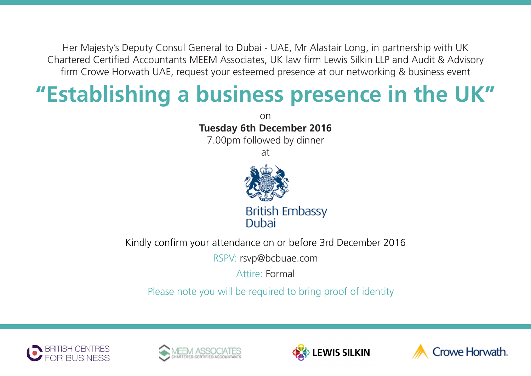Her Majesty's Deputy Consul General to Dubai - UAE, Mr Alastair Long, in partnership with UK Chartered Certified Accountants MEEM Associates, UK law firm Lewis Silkin LLP and Audit & Advisory firm Crowe Horwath UAE, request your esteemed presence at our networking & business event

## **"Establishing a business presence in the UK"**

on **Tuesday 6th December 2016** 7.00pm followed by dinner at **British Embassy** Dubai

Kindly confirm your attendance on or before 3rd December 2016

RSPV: rsvp@bcbuae.com

Attire: Formal

Please note you will be required to bring proof of identity







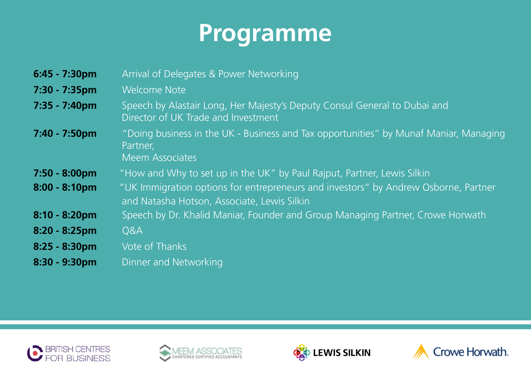## **Programme**

| $6:45 - 7:30$ pm        | Arrival of Delegates & Power Networking                                                                                            |
|-------------------------|------------------------------------------------------------------------------------------------------------------------------------|
| $7:30 - 7:35$ pm        | <b>Welcome Note</b>                                                                                                                |
| $7:35 - 7:40 \text{pm}$ | Speech by Alastair Long, Her Majesty's Deputy Consul General to Dubai and<br>Director of UK Trade and Investment                   |
| $7:40 - 7:50$ pm        | "Doing business in the UK - Business and Tax opportunities" by Munaf Maniar, Managing<br>Partner,<br><b>Meem Associates</b>        |
| $7:50 - 8:00 \text{pm}$ | "How and Why to set up in the UK" by Paul Rajput, Partner, Lewis Silkin                                                            |
| $8:00 - 8:10 \text{pm}$ | "UK Immigration options for entrepreneurs and investors" by Andrew Osborne, Partner<br>and Natasha Hotson, Associate, Lewis Silkin |
| $8:10 - 8:20$ pm        | Speech by Dr. Khalid Maniar, Founder and Group Managing Partner, Crowe Horwath                                                     |
| $8:20 - 8:25$ pm        | Q&A                                                                                                                                |
| $8:25 - 8:30$ pm        | Vote of Thanks                                                                                                                     |
| 8:30 - 9:30pm           | Dinner and Networking                                                                                                              |